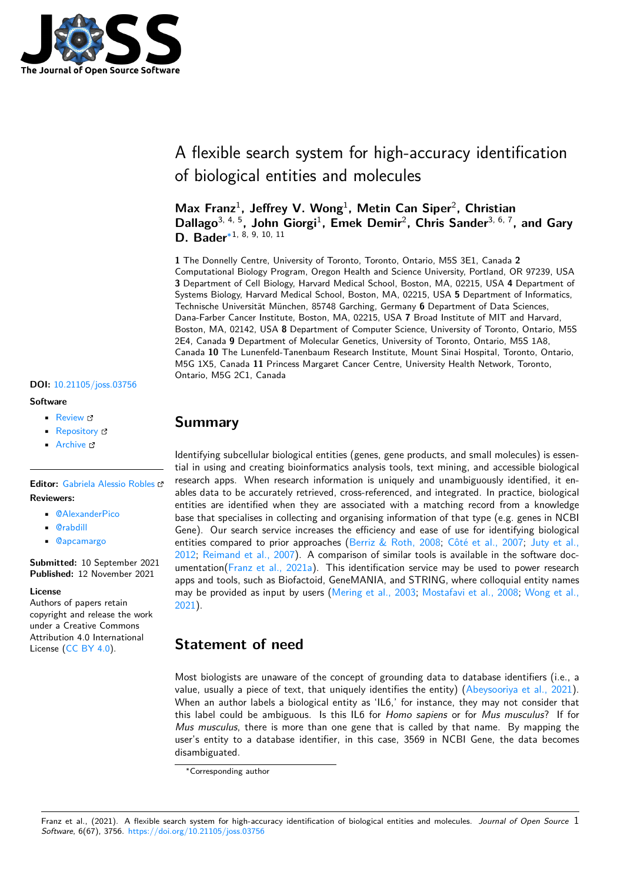

# A flexible search system for high-accuracy identification of biological entities and molecules

Max Franz<sup>1</sup>, Jeffrey V. Wong<sup>1</sup>, Metin Can Siper<sup>2</sup>, Christian Dallago<sup>3, 4, 5</sup>, John Giorgi<sup>1</sup>, Emek Demir<sup>2</sup>, Chris Sander<sup>3, 6, 7</sup>, and Gary **D. Bader**∗1, 8, 9, 10, 11

**1** The Donnelly Centre, University of Toronto, Toronto, Ontario, M5S 3E1, Canada **2** Computational Biology Program, Oregon Health and Science University, Portland, OR 97239, USA **3** Department of Cell Biology, Harvard Medical School, Boston, MA, 02215, USA **4** Department of Systems Biology, Harvard Medical School, Boston, MA, 02215, USA **5** Department of Informatics, Technische Universität München, 85748 Garching, Germany **6** Department of Data Sciences, Dana-Farber Cancer Institute, Boston, MA, 02215, USA **7** Broad Institute of MIT and Harvard, Boston, MA, 02142, USA **8** Department of Computer Science, University of Toronto, Ontario, M5S 2E4, Canada **9** Department of Molecular Genetics, University of Toronto, Ontario, M5S 1A8, Canada **10** The Lunenfeld-Tanenbaum Research Institute, Mount Sinai Hospital, Toronto, Ontario, M5G 1X5, Canada **11** Princess Margaret Cancer Centre, University Health Network, Toronto, Ontario, M5G 2C1, Canada

#### **DOI:** 10.21105/joss.03756

#### **Software**

- Review C
- [Repository](https://doi.org/10.21105/joss.03756) &
- Archive

# **Editor:** [Gabriela A](https://github.com/PathwayCommons/grounding-search)lessio Robles

- **Revie[wers:](https://doi.org/10.5281/zenodo.4891545)**
	- @AlexanderPico
	- @rabdill
	- @[apcamargo](https://galessiorob.github.io/index.html)

**Submitted:** [10 Septem](https://github.com/AlexanderPico)ber 2021 **Publi[shed:](https://github.com/rabdill)** 12 November 2021

#### **Licen[se](https://github.com/apcamargo)**

Authors of papers retain copyright and release the work under a Creative Commons Attribution 4.0 International License (CC BY 4.0).

#### **Summary**

Identifying subcellular biological entities (genes, gene products, and small molecules) is essential in using and creating bioinformatics analysis tools, text mining, and accessible biological research apps. When research information is uniquely and unambiguously identified, it enables data to be accurately retrieved, cross-referenced, and integrated. In practice, biological entities are identified when they are associated with a matching record from a knowledge base that specialises in collecting and organising information of that type (e.g. genes in NCBI Gene). Our search service increases the efficiency and ease of use for identifying biological entities compared to prior approaches (Berriz & Roth, 2008; Côté et al., 2007; Juty et al., 2012; Reimand et al., 2007). A comparison of similar tools is available in the software documentation(Franz et al., 2021a). This identification service may be used to power research apps and tools, such as Biofactoid, GeneMANIA, and STRING, where colloquial entity names may be provided as input by users (Me[ring et al., 2003;](#page-3-0) Most[afavi et al., 2008;](#page-3-1) [Wong et al.,](#page-3-2) [2021\)](#page-3-2)[.](#page-3-3)

### **[Sta](#page-3-4)tement of need**

Most biologists are unaware of the concept of grounding data to database identifiers (i.e., a value, usually a piece of text, that uniquely identifies the entity) (Abeysooriya et al., 2021). When an author labels a biological entity as 'IL6,' for instance, they may not consider that this label could be ambiguous. Is this IL6 for *Homo sapiens* or for *Mus musculus*? If for *Mus musculus*, there is more than one gene that is called by that name. By mapping the user's entity to a database identifier, in this case, 3569 in NCBI [Gene, the data become](#page-3-5)s disambiguated.

<sup>∗</sup>Corresponding author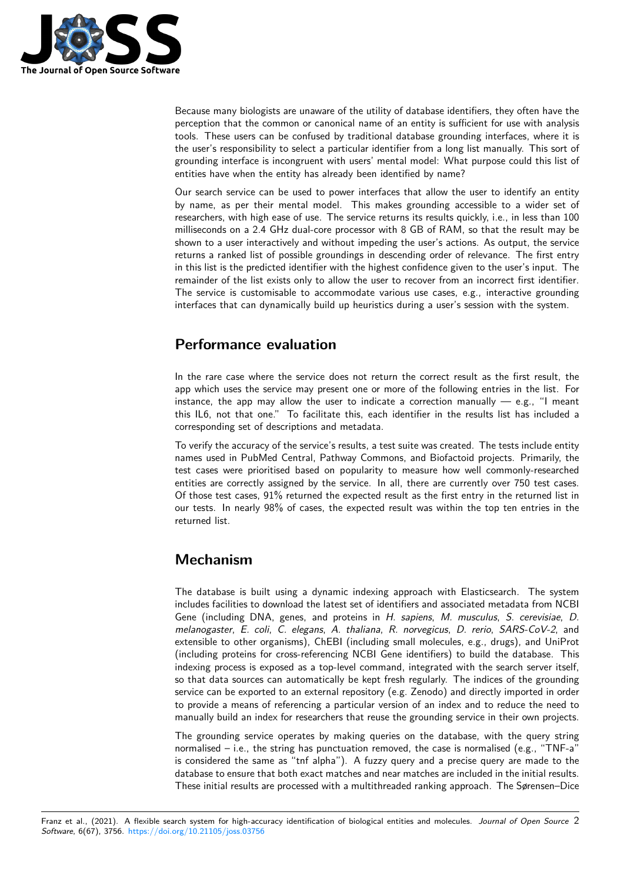

Because many biologists are unaware of the utility of database identifiers, they often have the perception that the common or canonical name of an entity is sufficient for use with analysis tools. These users can be confused by traditional database grounding interfaces, where it is the user's responsibility to select a particular identifier from a long list manually. This sort of grounding interface is incongruent with users' mental model: What purpose could this list of entities have when the entity has already been identified by name?

Our search service can be used to power interfaces that allow the user to identify an entity by name, as per their mental model. This makes grounding accessible to a wider set of researchers, with high ease of use. The service returns its results quickly, i.e., in less than 100 milliseconds on a 2.4 GHz dual-core processor with 8 GB of RAM, so that the result may be shown to a user interactively and without impeding the user's actions. As output, the service returns a ranked list of possible groundings in descending order of relevance. The first entry in this list is the predicted identifier with the highest confidence given to the user's input. The remainder of the list exists only to allow the user to recover from an incorrect first identifier. The service is customisable to accommodate various use cases, e.g., interactive grounding interfaces that can dynamically build up heuristics during a user's session with the system.

# **Performance evaluation**

In the rare case where the service does not return the correct result as the first result, the app which uses the service may present one or more of the following entries in the list. For instance, the app may allow the user to indicate a correction manually  $-$  e.g., "I meant this IL6, not that one." To facilitate this, each identifier in the results list has included a corresponding set of descriptions and metadata.

To verify the accuracy of the service's results, a test suite was created. The tests include entity names used in PubMed Central, Pathway Commons, and Biofactoid projects. Primarily, the test cases were prioritised based on popularity to measure how well commonly-researched entities are correctly assigned by the service. In all, there are currently over 750 test cases. Of those test cases, 91% returned the expected result as the first entry in the returned list in our tests. In nearly 98% of cases, the expected result was within the top ten entries in the returned list.

# **Mechanism**

The database is built using a dynamic indexing approach with Elasticsearch. The system includes facilities to download the latest set of identifiers and associated metadata from NCBI Gene (including DNA, genes, and proteins in *H. sapiens*, *M. musculus*, *S. cerevisiae*, *D. melanogaster*, *E. coli*, *C. elegans*, *A. thaliana*, *R. norvegicus*, *D. rerio*, *SARS-CoV-2*, and extensible to other organisms), ChEBI (including small molecules, e.g., drugs), and UniProt (including proteins for cross-referencing NCBI Gene identifiers) to build the database. This indexing process is exposed as a top-level command, integrated with the search server itself, so that data sources can automatically be kept fresh regularly. The indices of the grounding service can be exported to an external repository (e.g. Zenodo) and directly imported in order to provide a means of referencing a particular version of an index and to reduce the need to manually build an index for researchers that reuse the grounding service in their own projects.

The grounding service operates by making queries on the database, with the query string normalised – i.e., the string has punctuation removed, the case is normalised (e.g., "TNF-a" is considered the same as "tnf alpha"). A fuzzy query and a precise query are made to the database to ensure that both exact matches and near matches are included in the initial results. These initial results are processed with a multithreaded ranking approach. The Sørensen–Dice

Franz et al., (2021). A flexible search system for high-accuracy identification of biological entities and molecules. *Journal of Open Source* 2*Software*, 6(67), 3756. https://doi.org/10.21105/joss.03756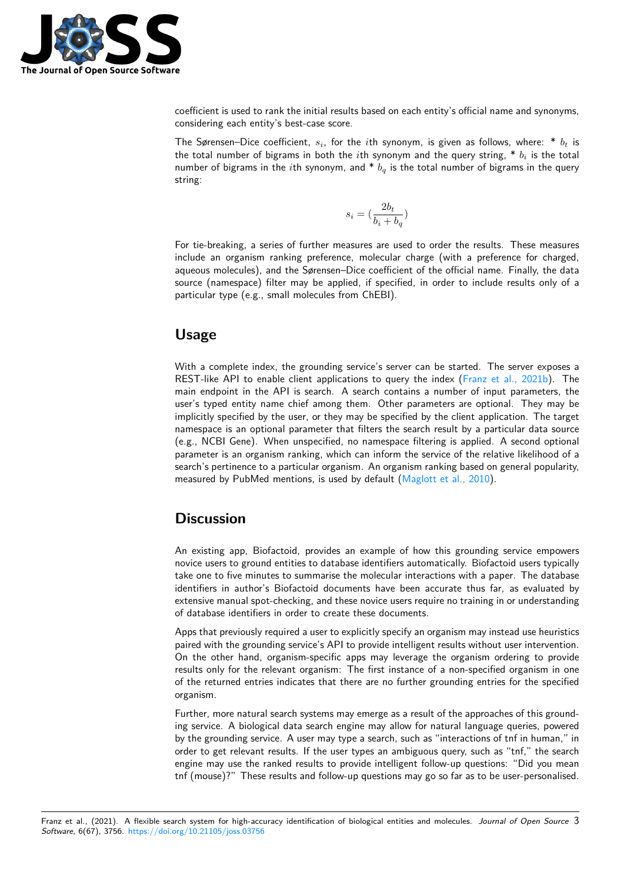

coefficient is used to rank the initial results based on each entity's official name and synonyms, considering each entity's best-case score.

The Sørensen–Dice coefficient,  $s_i$ , for the  $i$ th synonym, is given as follows, where:  $^*$   $b_t$  is the total number of bigrams in both the  $i$ th synonym and the query string,  $\text{*}~b_i$  is the total number of bigrams in the *i*th synonym, and \* *b<sup>q</sup>* is the total number of bigrams in the query string:

$$
s_i = (\frac{2b_t}{b_i+b_q})
$$

For tie-breaking, a series of further measures are used to order the results. These measures include an organism ranking preference, molecular charge (with a preference for charged, aqueous molecules), and the Sørensen–Dice coefficient of the official name. Finally, the data source (namespace) filter may be applied, if specified, in order to include results only of a particular type (e.g., small molecules from ChEBI).

# **Usage**

With a complete index, the grounding service's server can be started. The server exposes a REST-like API to enable client applications to query the index (Franz et al., 2021b). The main endpoint in the API is search. A search contains a number of input parameters, the user's typed entity name chief among them. Other parameters are optional. They may be implicitly specified by the user, or they may be specified by the client application. The target namespace is an optional parameter that filters the search result [by a particular data](#page-3-6) source (e.g., NCBI Gene). When unspecified, no namespace filtering is applied. A second optional parameter is an organism ranking, which can inform the service of the relative likelihood of a search's pertinence to a particular organism. An organism ranking based on general popularity, measured by PubMed mentions, is used by default (Maglott et al., 2010).

# **Discussion**

An existing app, Biofactoid, provides an example of how this grounding service empowers novice users to ground entities to database identifiers automatically. Biofactoid users typically take one to five minutes to summarise the molecular interactions with a paper. The database identifiers in author's Biofactoid documents have been accurate thus far, as evaluated by extensive manual spot-checking, and these novice users require no training in or understanding of database identifiers in order to create these documents.

Apps that previously required a user to explicitly specify an organism may instead use heuristics paired with the grounding service's API to provide intelligent results without user intervention. On the other hand, organism-specific apps may leverage the organism ordering to provide results only for the relevant organism: The first instance of a non-specified organism in one of the returned entries indicates that there are no further grounding entries for the specified organism.

Further, more natural search systems may emerge as a result of the approaches of this grounding service. A biological data search engine may allow for natural language queries, powered by the grounding service. A user may type a search, such as "interactions of tnf in human," in order to get relevant results. If the user types an ambiguous query, such as "tnf," the search engine may use the ranked results to provide intelligent follow-up questions: "Did you mean tnf (mouse)?" These results and follow-up questions may go so far as to be user-personalised.